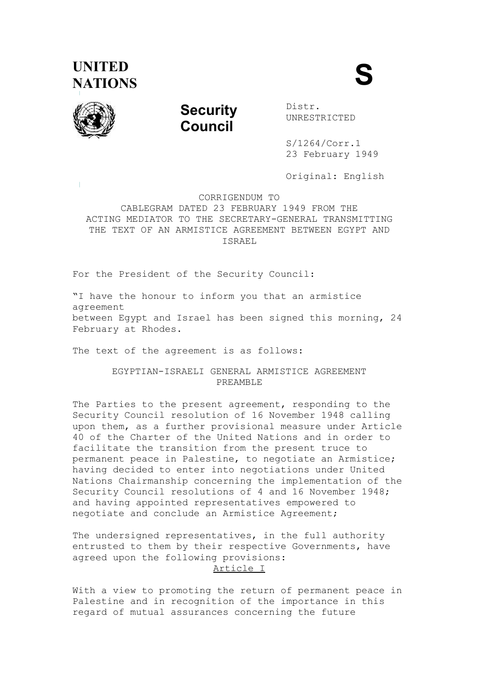**UNITED** UNITED<br>NATIONS S





# **Security Council**

Distr. UNRESTRICTED

S/1264/Corr.1 23 February 1949

Original: English

CORRIGENDUM TO

CABLEGRAM DATED 23 FEBRUARY 1949 FROM THE ACTING MEDIATOR TO THE SECRETARY-GENERAL TRANSMITTING THE TEXT OF AN ARMISTICE AGREEMENT BETWEEN EGYPT AND ISRAEL

For the President of the Security Council:

"I have the honour to inform you that an armistice agreement between Egypt and Israel has been signed this morning, 24 February at Rhodes.

The text of the agreement is as follows:

EGYPTIAN-ISRAELI GENERAL ARMISTICE AGREEMENT PREAMBLE

The Parties to the present agreement, responding to the Security Council resolution of 16 November 1948 calling upon them, as a further provisional measure under Article 40 of the Charter of the United Nations and in order to facilitate the transition from the present truce to permanent peace in Palestine, to negotiate an Armistice; having decided to enter into negotiations under United Nations Chairmanship concerning the implementation of the Security Council resolutions of 4 and 16 November 1948; and having appointed representatives empowered to negotiate and conclude an Armistice Agreement;

The undersigned representatives, in the full authority entrusted to them by their respective Governments, have agreed upon the following provisions: Article I

With a view to promoting the return of permanent peace in Palestine and in recognition of the importance in this regard of mutual assurances concerning the future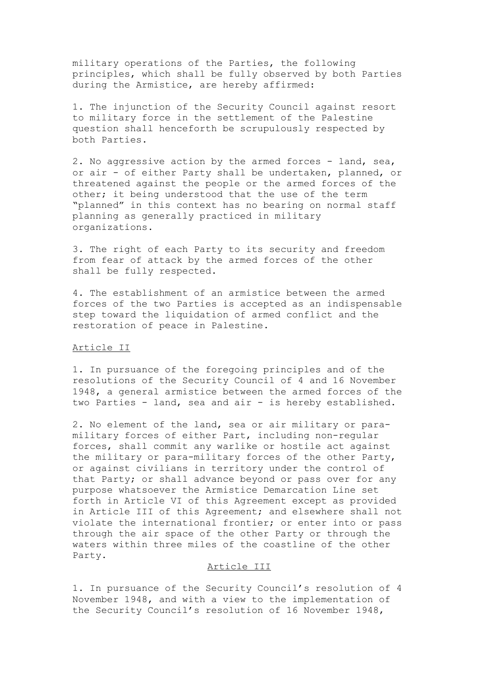military operations of the Parties, the following principles, which shall be fully observed by both Parties during the Armistice, are hereby affirmed:

1. The injunction of the Security Council against resort to military force in the settlement of the Palestine question shall henceforth be scrupulously respected by both Parties.

2. No aggressive action by the armed forces - land, sea, or air - of either Party shall be undertaken, planned, or threatened against the people or the armed forces of the other; it being understood that the use of the term "planned" in this context has no bearing on normal staff planning as generally practiced in military organizations.

3. The right of each Party to its security and freedom from fear of attack by the armed forces of the other shall be fully respected.

4. The establishment of an armistice between the armed forces of the two Parties is accepted as an indispensable step toward the liquidation of armed conflict and the restoration of peace in Palestine.

## Article II

1. In pursuance of the foregoing principles and of the resolutions of the Security Council of 4 and 16 November 1948, a general armistice between the armed forces of the two Parties - land, sea and air - is hereby established.

2. No element of the land, sea or air military or paramilitary forces of either Part, including non-regular forces, shall commit any warlike or hostile act against the military or para-military forces of the other Party, or against civilians in territory under the control of that Party; or shall advance beyond or pass over for any purpose whatsoever the Armistice Demarcation Line set forth in Article VI of this Agreement except as provided in Article III of this Agreement; and elsewhere shall not violate the international frontier; or enter into or pass through the air space of the other Party or through the waters within three miles of the coastline of the other Party.

#### Article III

1. In pursuance of the Security Council's resolution of 4 November 1948, and with a view to the implementation of the Security Council's resolution of 16 November 1948,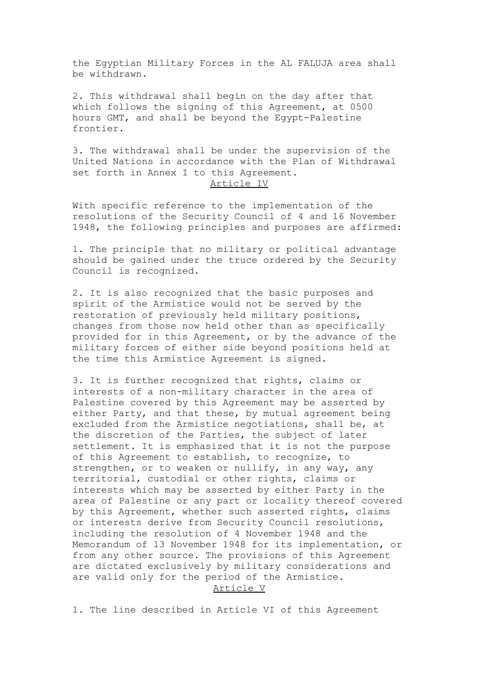the Egyptian Military Forces in the AL FALUJA area shall be withdrawn.

2. This withdrawal shall begin on the day after that which follows the signing of this Agreement, at 0500 hours GMT, and shall be beyond the Egypt-Palestine frontier.

3. The withdrawal shall be under the supervision of the United Nations in accordance with the Plan of Withdrawal set forth in Annex I to this Agreement. Article IV

With specific reference to the implementation of the resolutions of the Security Council of 4 and 16 November 1948, the following principles and purposes are affirmed:

1. The principle that no military or political advantage should be gained under the truce ordered by the Security Council is recognized.

2. It is also recognized that the basic purposes and spirit of the Armistice would not be served by the restoration of previously held military positions, changes from those now held other than as specifically provided for in this Agreement, or by the advance of the military forces of either side beyond positions held at the time this Armistice Agreement is signed.

3. It is further recognized that rights, claims or interests of a non-military character in the area of Palestine covered by this Agreement may be asserted by either Party, and that these, by mutual agreement being excluded from the Armistice negotiations, shall be, at the discretion of the Parties, the subject of later settlement. It is emphasized that it is not the purpose of this Agreement to establish, to recognize, to strengthen, or to weaken or nullify, in any way, any territorial, custodial or other rights, claims or interests which may be asserted by either Party in the area of Palestine or any part or locality thereof covered by this Agreement, whether such asserted rights, claims or interests derive from Security Council resolutions, including the resolution of 4 November 1948 and the Memorandum of 13 November 1948 for its implementation, or from any other source. The provisions of this Agreement are dictated exclusively by military considerations and are valid only for the period of the Armistice. Article V

1. The line described in Article VI of this Agreement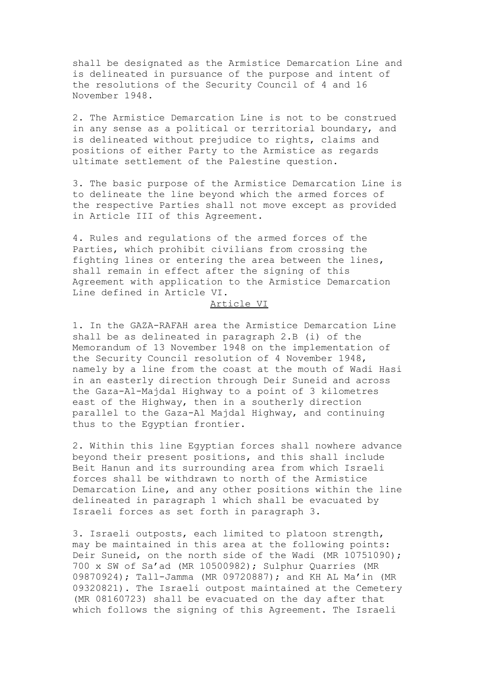shall be designated as the Armistice Demarcation Line and is delineated in pursuance of the purpose and intent of the resolutions of the Security Council of 4 and 16 November 1948.

2. The Armistice Demarcation Line is not to be construed in any sense as a political or territorial boundary, and is delineated without prejudice to rights, claims and positions of either Party to the Armistice as regards ultimate settlement of the Palestine question.

3. The basic purpose of the Armistice Demarcation Line is to delineate the line beyond which the armed forces of the respective Parties shall not move except as provided in Article III of this Agreement.

4. Rules and regulations of the armed forces of the Parties, which prohibit civilians from crossing the fighting lines or entering the area between the lines, shall remain in effect after the signing of this Agreement with application to the Armistice Demarcation Line defined in Article VI.

#### Article VI

1. In the GAZA-RAFAH area the Armistice Demarcation Line shall be as delineated in paragraph 2.B (i) of the Memorandum of 13 November 1948 on the implementation of the Security Council resolution of 4 November 1948, namely by a line from the coast at the mouth of Wadi Hasi in an easterly direction through Deir Suneid and across the Gaza-Al-Majdal Highway to a point of 3 kilometres east of the Highway, then in a southerly direction parallel to the Gaza-Al Majdal Highway, and continuing thus to the Egyptian frontier.

2. Within this line Egyptian forces shall nowhere advance beyond their present positions, and this shall include Beit Hanun and its surrounding area from which Israeli forces shall be withdrawn to north of the Armistice Demarcation Line, and any other positions within the line delineated in paragraph 1 which shall be evacuated by Israeli forces as set forth in paragraph 3.

3. Israeli outposts, each limited to platoon strength, may be maintained in this area at the following points: Deir Suneid, on the north side of the Wadi (MR 10751090); 700 x SW of Sa'ad (MR 10500982); Sulphur Quarries (MR 09870924); Tall-Jamma (MR 09720887); and KH AL Ma'in (MR 09320821). The Israeli outpost maintained at the Cemetery (MR 08160723) shall be evacuated on the day after that which follows the signing of this Agreement. The Israeli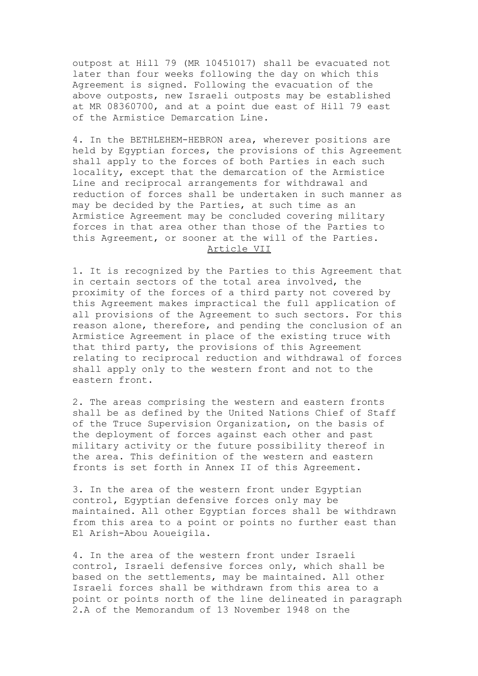outpost at Hill 79 (MR 10451017) shall be evacuated not later than four weeks following the day on which this Agreement is signed. Following the evacuation of the above outposts, new Israeli outposts may be established at MR 08360700, and at a point due east of Hill 79 east of the Armistice Demarcation Line.

4. In the BETHLEHEM-HEBRON area, wherever positions are held by Egyptian forces, the provisions of this Agreement shall apply to the forces of both Parties in each such locality, except that the demarcation of the Armistice Line and reciprocal arrangements for withdrawal and reduction of forces shall be undertaken in such manner as may be decided by the Parties, at such time as an Armistice Agreement may be concluded covering military forces in that area other than those of the Parties to this Agreement, or sooner at the will of the Parties. Article VII

1. It is recognized by the Parties to this Agreement that in certain sectors of the total area involved, the proximity of the forces of a third party not covered by this Agreement makes impractical the full application of all provisions of the Agreement to such sectors. For this reason alone, therefore, and pending the conclusion of an Armistice Agreement in place of the existing truce with that third party, the provisions of this Agreement relating to reciprocal reduction and withdrawal of forces shall apply only to the western front and not to the eastern front.

2. The areas comprising the western and eastern fronts shall be as defined by the United Nations Chief of Staff of the Truce Supervision Organization, on the basis of the deployment of forces against each other and past military activity or the future possibility thereof in the area. This definition of the western and eastern fronts is set forth in Annex II of this Agreement.

3. In the area of the western front under Egyptian control, Egyptian defensive forces only may be maintained. All other Egyptian forces shall be withdrawn from this area to a point or points no further east than El Arish-Abou Aoueigila.

4. In the area of the western front under Israeli control, Israeli defensive forces only, which shall be based on the settlements, may be maintained. All other Israeli forces shall be withdrawn from this area to a point or points north of the line delineated in paragraph 2.A of the Memorandum of 13 November 1948 on the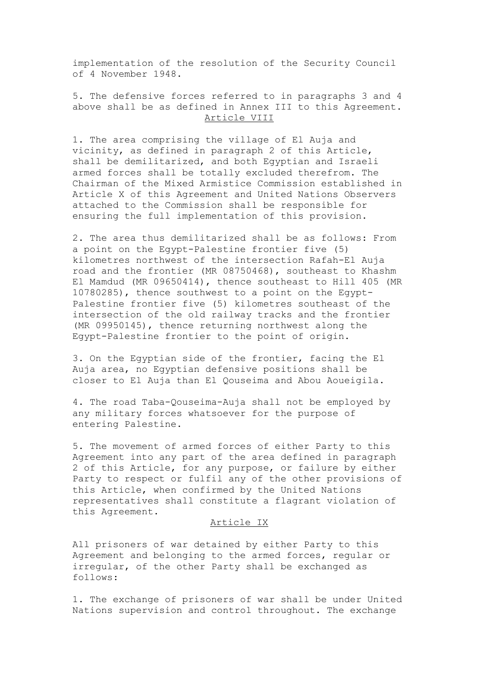implementation of the resolution of the Security Council of 4 November 1948.

5. The defensive forces referred to in paragraphs 3 and 4 above shall be as defined in Annex III to this Agreement. Article VIII

1. The area comprising the village of El Auja and vicinity, as defined in paragraph 2 of this Article, shall be demilitarized, and both Egyptian and Israeli armed forces shall be totally excluded therefrom. The Chairman of the Mixed Armistice Commission established in Article X of this Agreement and United Nations Observers attached to the Commission shall be responsible for ensuring the full implementation of this provision.

2. The area thus demilitarized shall be as follows: From a point on the Egypt-Palestine frontier five (5) kilometres northwest of the intersection Rafah-El Auja road and the frontier (MR 08750468), southeast to Khashm El Mamdud (MR 09650414), thence southeast to Hill 405 (MR 10780285), thence southwest to a point on the Egypt-Palestine frontier five (5) kilometres southeast of the intersection of the old railway tracks and the frontier (MR 09950145), thence returning northwest along the Egypt-Palestine frontier to the point of origin.

3. On the Egyptian side of the frontier, facing the El Auja area, no Egyptian defensive positions shall be closer to El Auja than El Qouseima and Abou Aoueigila.

4. The road Taba-Qouseima-Auja shall not be employed by any military forces whatsoever for the purpose of entering Palestine.

5. The movement of armed forces of either Party to this Agreement into any part of the area defined in paragraph 2 of this Article, for any purpose, or failure by either Party to respect or fulfil any of the other provisions of this Article, when confirmed by the United Nations representatives shall constitute a flagrant violation of this Agreement.

## Article IX

All prisoners of war detained by either Party to this Agreement and belonging to the armed forces, regular or irregular, of the other Party shall be exchanged as follows:

1. The exchange of prisoners of war shall be under United Nations supervision and control throughout. The exchange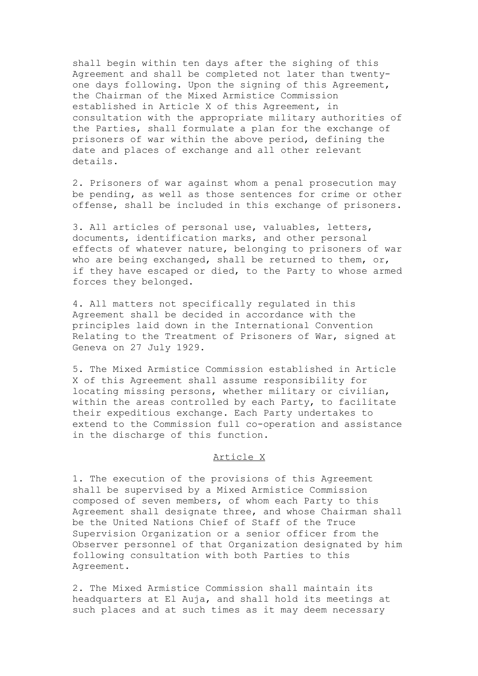shall begin within ten days after the sighing of this Agreement and shall be completed not later than twentyone days following. Upon the signing of this Agreement, the Chairman of the Mixed Armistice Commission established in Article X of this Agreement, in consultation with the appropriate military authorities of the Parties, shall formulate a plan for the exchange of prisoners of war within the above period, defining the date and places of exchange and all other relevant details.

2. Prisoners of war against whom a penal prosecution may be pending, as well as those sentences for crime or other offense, shall be included in this exchange of prisoners.

3. All articles of personal use, valuables, letters, documents, identification marks, and other personal effects of whatever nature, belonging to prisoners of war who are being exchanged, shall be returned to them, or, if they have escaped or died, to the Party to whose armed forces they belonged.

4. All matters not specifically regulated in this Agreement shall be decided in accordance with the principles laid down in the International Convention Relating to the Treatment of Prisoners of War, signed at Geneva on 27 July 1929.

5. The Mixed Armistice Commission established in Article X of this Agreement shall assume responsibility for locating missing persons, whether military or civilian, within the areas controlled by each Party, to facilitate their expeditious exchange. Each Party undertakes to extend to the Commission full co-operation and assistance in the discharge of this function.

## Article X

1. The execution of the provisions of this Agreement shall be supervised by a Mixed Armistice Commission composed of seven members, of whom each Party to this Agreement shall designate three, and whose Chairman shall be the United Nations Chief of Staff of the Truce Supervision Organization or a senior officer from the Observer personnel of that Organization designated by him following consultation with both Parties to this Agreement.

2. The Mixed Armistice Commission shall maintain its headquarters at El Auja, and shall hold its meetings at such places and at such times as it may deem necessary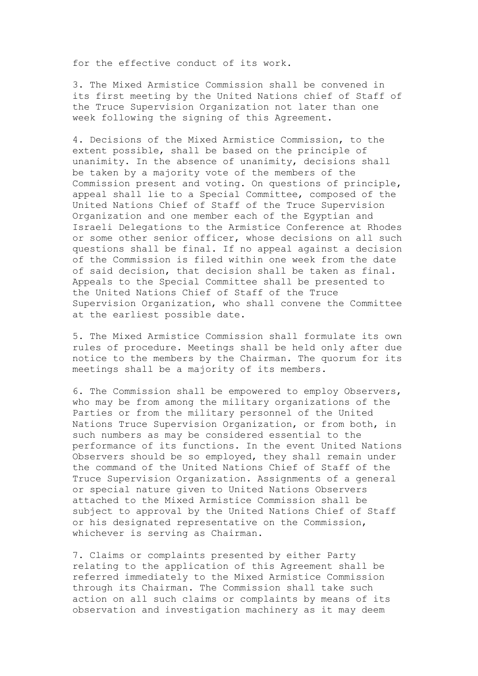for the effective conduct of its work.

3. The Mixed Armistice Commission shall be convened in its first meeting by the United Nations chief of Staff of the Truce Supervision Organization not later than one week following the signing of this Agreement.

4. Decisions of the Mixed Armistice Commission, to the extent possible, shall be based on the principle of unanimity. In the absence of unanimity, decisions shall be taken by a majority vote of the members of the Commission present and voting. On questions of principle, appeal shall lie to a Special Committee, composed of the United Nations Chief of Staff of the Truce Supervision Organization and one member each of the Egyptian and Israeli Delegations to the Armistice Conference at Rhodes or some other senior officer, whose decisions on all such questions shall be final. If no appeal against a decision of the Commission is filed within one week from the date of said decision, that decision shall be taken as final. Appeals to the Special Committee shall be presented to the United Nations Chief of Staff of the Truce Supervision Organization, who shall convene the Committee at the earliest possible date.

5. The Mixed Armistice Commission shall formulate its own rules of procedure. Meetings shall be held only after due notice to the members by the Chairman. The quorum for its meetings shall be a majority of its members.

6. The Commission shall be empowered to employ Observers, who may be from among the military organizations of the Parties or from the military personnel of the United Nations Truce Supervision Organization, or from both, in such numbers as may be considered essential to the performance of its functions. In the event United Nations Observers should be so employed, they shall remain under the command of the United Nations Chief of Staff of the Truce Supervision Organization. Assignments of a general or special nature given to United Nations Observers attached to the Mixed Armistice Commission shall be subject to approval by the United Nations Chief of Staff or his designated representative on the Commission, whichever is serving as Chairman.

7. Claims or complaints presented by either Party relating to the application of this Agreement shall be referred immediately to the Mixed Armistice Commission through its Chairman. The Commission shall take such action on all such claims or complaints by means of its observation and investigation machinery as it may deem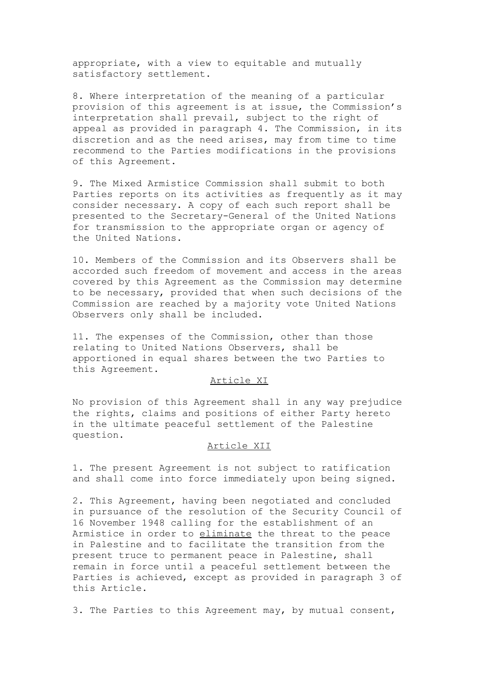appropriate, with a view to equitable and mutually satisfactory settlement.

8. Where interpretation of the meaning of a particular provision of this agreement is at issue, the Commission's interpretation shall prevail, subject to the right of appeal as provided in paragraph 4. The Commission, in its discretion and as the need arises, may from time to time recommend to the Parties modifications in the provisions of this Agreement.

9. The Mixed Armistice Commission shall submit to both Parties reports on its activities as frequently as it may consider necessary. A copy of each such report shall be presented to the Secretary-General of the United Nations for transmission to the appropriate organ or agency of the United Nations.

10. Members of the Commission and its Observers shall be accorded such freedom of movement and access in the areas covered by this Agreement as the Commission may determine to be necessary, provided that when such decisions of the Commission are reached by a majority vote United Nations Observers only shall be included.

11. The expenses of the Commission, other than those relating to United Nations Observers, shall be apportioned in equal shares between the two Parties to this Agreement.

## Article XI

No provision of this Agreement shall in any way prejudice the rights, claims and positions of either Party hereto in the ultimate peaceful settlement of the Palestine question.

## Article XII

1. The present Agreement is not subject to ratification and shall come into force immediately upon being signed.

2. This Agreement, having been negotiated and concluded in pursuance of the resolution of the Security Council of 16 November 1948 calling for the establishment of an Armistice in order to eliminate the threat to the peace in Palestine and to facilitate the transition from the present truce to permanent peace in Palestine, shall remain in force until a peaceful settlement between the Parties is achieved, except as provided in paragraph 3 of this Article.

3. The Parties to this Agreement may, by mutual consent,